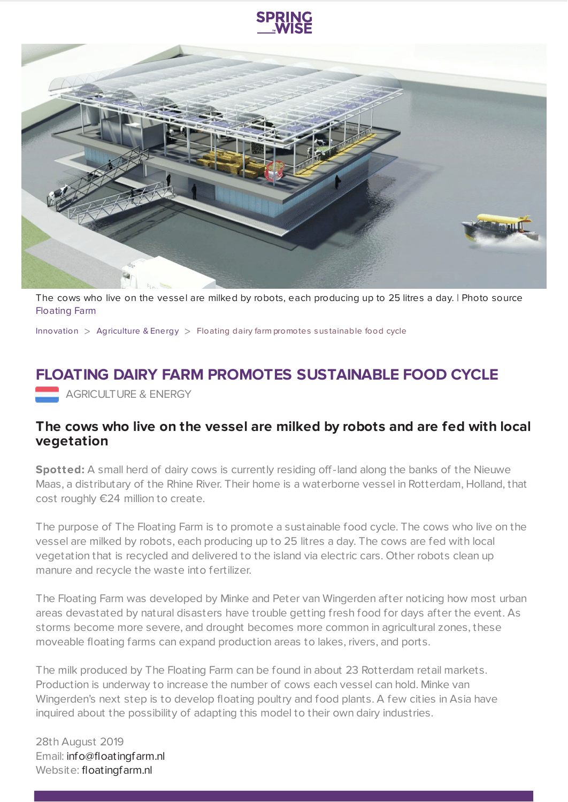



The cows who live on the vessel are milked by robots, each producing up to 25 litres a day. | Photo source [Floating](https://floatingfarm.nl/?lang=en) Farm

[Innovation](https://www.springwise.com/search?type=innovation)  $>$  [Agriculture](https://www.springwise.com/search?type=innovation§or=agriculture-energy) & Energy  $>$  Floating dairy farm promotes sustainable food cycle

## **FLOATING DAIRY FARM PROMOTES SUSTAINABLE FOOD CYCLE**

**AGRICULTURE & ENERGY** 

## **The cows who live on the vessel are milked by robots and are fed with local vegetation**

**Spotted:** A small herd of dairy cows is currently residing off-land along the banks of the Nieuwe Maas, a distributary of the Rhine River. Their home is a waterborne vessel in Rotterdam, Holland, that cost roughly €24 million to create.

The purpose of The Floating Farm is to promote a sustainable food cycle. The cows who live on the vessel are milked by robots, each producing up to 25 litres a day. The cows are fed with local vegetation that is recycled and delivered to the island via electric cars. Other robots clean up manure and recycle the waste into fertilizer.

The Floating Farm was developed by Minke and Peter van Wingerden after noticing how most urban areas devastated by natural disasters have trouble getting fresh food for days after the event. As storms become more severe, and drought becomes more common in agricultural zones, these moveable floating farms can expand production areas to lakes, rivers, and ports.

The milk produced by The Floating Farm can be found in about 23 Rotterdam retail markets. Production is underway to increase the number of cows each vessel can hold. Minke van Wingerden's next step is to develop floating poultry and food plants. A few cities in Asia have inquired about the possibility of adapting this model to their own dairy industries.

28th August 2019 Email: [info@floatingfarm.nl](mailto:info@floatingfarm.nl) Website: [floatingfarm.nl](https://floatingfarm.nl/)